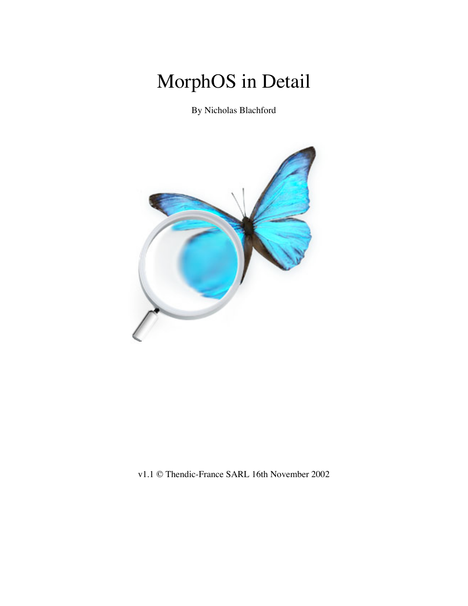# MorphOS in Detail

By Nicholas Blachford



v1.1 © Thendic-France SARL 16th November 2002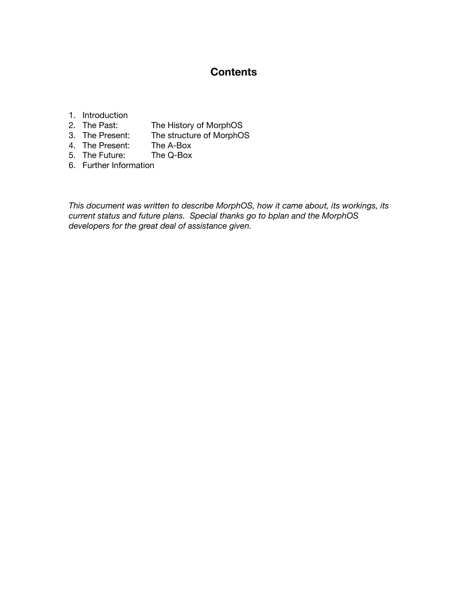### **Contents**

## 1. Introduction<br>2. The Past:

- 2. The Past: The History of MorphOS<br>3. The Present: The structure of MorphO
- The structure of MorphOS
- 4. The Present: The A-Box<br>5. The Future: The Q-Box
- 5. The Future:
- 6. Further Information

*This document was written to describe MorphOS, how it came about, its workings, its current status and future plans. Special thanks go to bplan and the MorphOS developers for the great deal of assistance given.*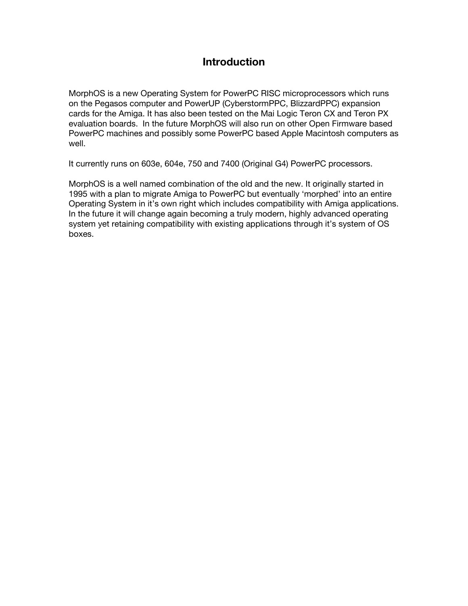## **Introduction**

MorphOS is a new Operating System for PowerPC RISC microprocessors which runs on the Pegasos computer and PowerUP (CyberstormPPC, BlizzardPPC) expansion cards for the Amiga. It has also been tested on the Mai Logic Teron CX and Teron PX evaluation boards. In the future MorphOS will also run on other Open Firmware based PowerPC machines and possibly some PowerPC based Apple Macintosh computers as well.

It currently runs on 603e, 604e, 750 and 7400 (Original G4) PowerPC processors.

MorphOS is a well named combination of the old and the new. It originally started in 1995 with a plan to migrate Amiga to PowerPC but eventually 'morphed' into an entire Operating System in it's own right which includes compatibility with Amiga applications. In the future it will change again becoming a truly modern, highly advanced operating system yet retaining compatibility with existing applications through it's system of OS boxes.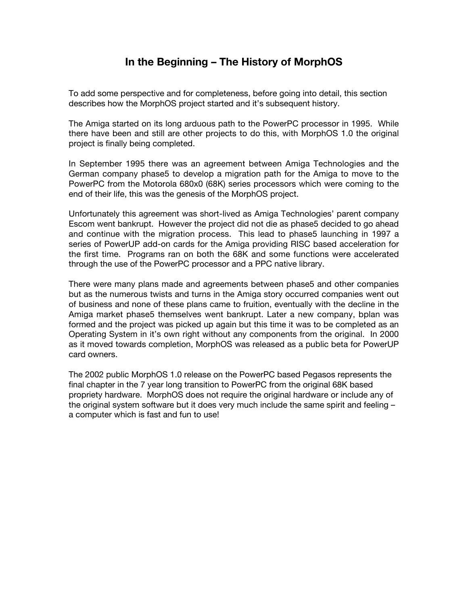## **In the Beginning – The History of MorphOS**

To add some perspective and for completeness, before going into detail, this section describes how the MorphOS project started and it's subsequent history.

The Amiga started on its long arduous path to the PowerPC processor in 1995. While there have been and still are other projects to do this, with MorphOS 1.0 the original project is finally being completed.

In September 1995 there was an agreement between Amiga Technologies and the German company phase5 to develop a migration path for the Amiga to move to the PowerPC from the Motorola 680x0 (68K) series processors which were coming to the end of their life, this was the genesis of the MorphOS project.

Unfortunately this agreement was short-lived as Amiga Technologies' parent company Escom went bankrupt. However the project did not die as phase5 decided to go ahead and continue with the migration process. This lead to phase5 launching in 1997 a series of PowerUP add-on cards for the Amiga providing RISC based acceleration for the first time. Programs ran on both the 68K and some functions were accelerated through the use of the PowerPC processor and a PPC native library.

There were many plans made and agreements between phase5 and other companies but as the numerous twists and turns in the Amiga story occurred companies went out of business and none of these plans came to fruition, eventually with the decline in the Amiga market phase5 themselves went bankrupt. Later a new company, bplan was formed and the project was picked up again but this time it was to be completed as an Operating System in it's own right without any components from the original. In 2000 as it moved towards completion, MorphOS was released as a public beta for PowerUP card owners.

The 2002 public MorphOS 1.0 release on the PowerPC based Pegasos represents the final chapter in the 7 year long transition to PowerPC from the original 68K based propriety hardware. MorphOS does not require the original hardware or include any of the original system software but it does very much include the same spirit and feeling – a computer which is fast and fun to use!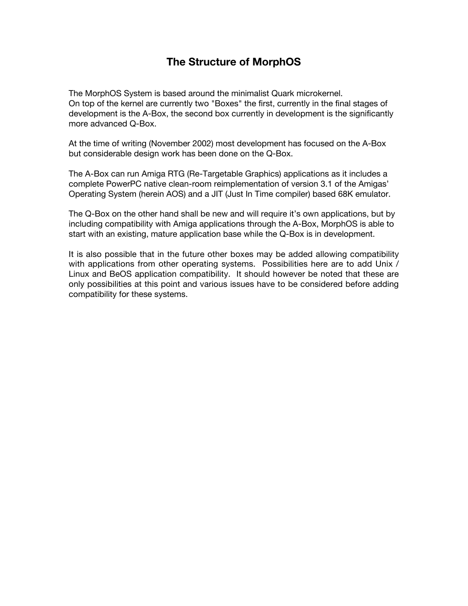## **The Structure of MorphOS**

The MorphOS System is based around the minimalist Quark microkernel. On top of the kernel are currently two "Boxes" the first, currently in the final stages of development is the A-Box, the second box currently in development is the significantly more advanced Q-Box.

At the time of writing (November 2002) most development has focused on the A-Box but considerable design work has been done on the Q-Box.

The A-Box can run Amiga RTG (Re-Targetable Graphics) applications as it includes a complete PowerPC native clean-room reimplementation of version 3.1 of the Amigas' Operating System (herein AOS) and a JIT (Just In Time compiler) based 68K emulator.

The Q-Box on the other hand shall be new and will require it's own applications, but by including compatibility with Amiga applications through the A-Box, MorphOS is able to start with an existing, mature application base while the Q-Box is in development.

It is also possible that in the future other boxes may be added allowing compatibility with applications from other operating systems. Possibilities here are to add Unix / Linux and BeOS application compatibility. It should however be noted that these are only possibilities at this point and various issues have to be considered before adding compatibility for these systems.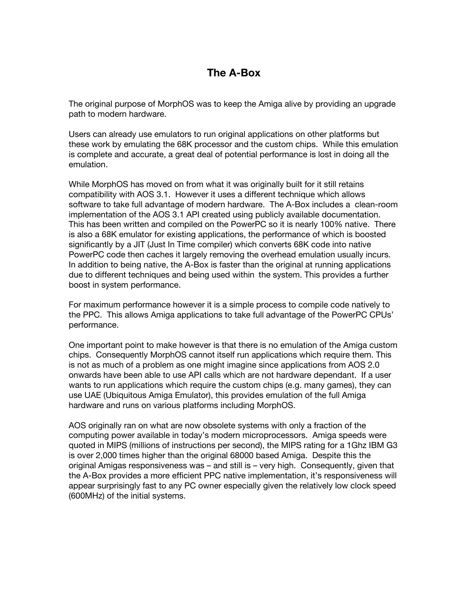## **The A-Box**

The original purpose of MorphOS was to keep the Amiga alive by providing an upgrade path to modern hardware.

Users can already use emulators to run original applications on other platforms but these work by emulating the 68K processor and the custom chips. While this emulation is complete and accurate, a great deal of potential performance is lost in doing all the emulation.

While MorphOS has moved on from what it was originally built for it still retains compatibility with AOS 3.1. However it uses a different technique which allows software to take full advantage of modern hardware. The A-Box includes a clean-room implementation of the AOS 3.1 API created using publicly available documentation. This has been written and compiled on the PowerPC so it is nearly 100% native. There is also a 68K emulator for existing applications, the performance of which is boosted significantly by a JIT (Just In Time compiler) which converts 68K code into native PowerPC code then caches it largely removing the overhead emulation usually incurs. In addition to being native, the A-Box is faster than the original at running applications due to different techniques and being used within the system. This provides a further boost in system performance.

For maximum performance however it is a simple process to compile code natively to the PPC. This allows Amiga applications to take full advantage of the PowerPC CPUs' performance.

One important point to make however is that there is no emulation of the Amiga custom chips. Consequently MorphOS cannot itself run applications which require them. This is not as much of a problem as one might imagine since applications from AOS 2.0 onwards have been able to use API calls which are not hardware dependant. If a user wants to run applications which require the custom chips (e.g. many games), they can use UAE (Ubiquitous Amiga Emulator), this provides emulation of the full Amiga hardware and runs on various platforms including MorphOS.

AOS originally ran on what are now obsolete systems with only a fraction of the computing power available in today's modern microprocessors. Amiga speeds were quoted in MIPS (millions of instructions per second), the MIPS rating for a 1Ghz IBM G3 is over 2,000 times higher than the original 68000 based Amiga. Despite this the original Amigas responsiveness was – and still is – very high. Consequently, given that the A-Box provides a more efficient PPC native implementation, it's responsiveness will appear surprisingly fast to any PC owner especially given the relatively low clock speed (600MHz) of the initial systems.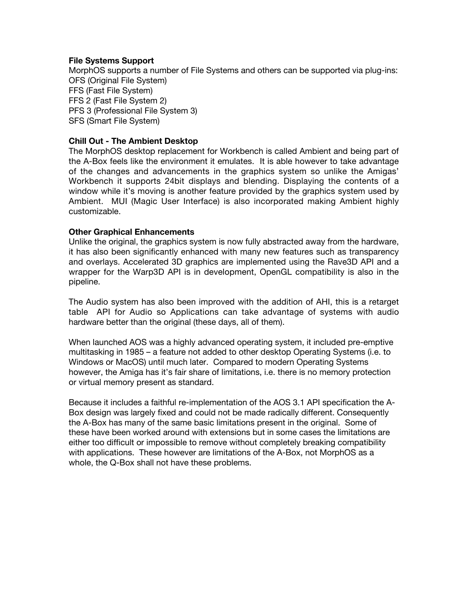#### **File Systems Support**

MorphOS supports a number of File Systems and others can be supported via plug-ins: OFS (Original File System) FFS (Fast File System) FFS 2 (Fast File System 2) PFS 3 (Professional File System 3) SFS (Smart File System)

#### **Chill Out - The Ambient Desktop**

The MorphOS desktop replacement for Workbench is called Ambient and being part of the A-Box feels like the environment it emulates. It is able however to take advantage of the changes and advancements in the graphics system so unlike the Amigas' Workbench it supports 24bit displays and blending. Displaying the contents of a window while it's moving is another feature provided by the graphics system used by Ambient. MUI (Magic User Interface) is also incorporated making Ambient highly customizable.

#### **Other Graphical Enhancements**

Unlike the original, the graphics system is now fully abstracted away from the hardware, it has also been significantly enhanced with many new features such as transparency and overlays. Accelerated 3D graphics are implemented using the Rave3D API and a wrapper for the Warp3D API is in development, OpenGL compatibility is also in the pipeline.

The Audio system has also been improved with the addition of AHI, this is a retarget table API for Audio so Applications can take advantage of systems with audio hardware better than the original (these days, all of them).

When launched AOS was a highly advanced operating system, it included pre-emptive multitasking in 1985 – a feature not added to other desktop Operating Systems (i.e. to Windows or MacOS) until much later. Compared to modern Operating Systems however, the Amiga has it's fair share of limitations, i.e. there is no memory protection or virtual memory present as standard.

Because it includes a faithful re-implementation of the AOS 3.1 API specification the A-Box design was largely fixed and could not be made radically different. Consequently the A-Box has many of the same basic limitations present in the original. Some of these have been worked around with extensions but in some cases the limitations are either too difficult or impossible to remove without completely breaking compatibility with applications. These however are limitations of the A-Box, not MorphOS as a whole, the Q-Box shall not have these problems.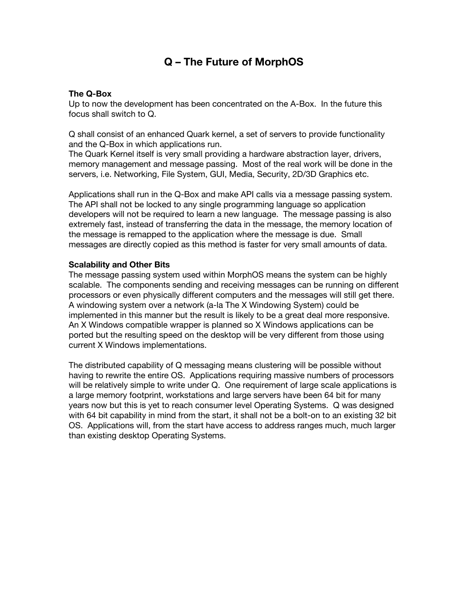## **Q – The Future of MorphOS**

#### **The Q-Box**

Up to now the development has been concentrated on the A-Box. In the future this focus shall switch to Q.

Q shall consist of an enhanced Quark kernel, a set of servers to provide functionality and the Q-Box in which applications run.

The Quark Kernel itself is very small providing a hardware abstraction layer, drivers, memory management and message passing. Most of the real work will be done in the servers, i.e. Networking, File System, GUI, Media, Security, 2D/3D Graphics etc.

Applications shall run in the Q-Box and make API calls via a message passing system. The API shall not be locked to any single programming language so application developers will not be required to learn a new language. The message passing is also extremely fast, instead of transferring the data in the message, the memory location of the message is remapped to the application where the message is due. Small messages are directly copied as this method is faster for very small amounts of data.

#### **Scalability and Other Bits**

The message passing system used within MorphOS means the system can be highly scalable. The components sending and receiving messages can be running on different processors or even physically different computers and the messages will still get there. A windowing system over a network (a-la The X Windowing System) could be implemented in this manner but the result is likely to be a great deal more responsive. An X Windows compatible wrapper is planned so X Windows applications can be ported but the resulting speed on the desktop will be very different from those using current X Windows implementations.

The distributed capability of Q messaging means clustering will be possible without having to rewrite the entire OS. Applications requiring massive numbers of processors will be relatively simple to write under Q. One requirement of large scale applications is a large memory footprint, workstations and large servers have been 64 bit for many years now but this is yet to reach consumer level Operating Systems. Q was designed with 64 bit capability in mind from the start, it shall not be a bolt-on to an existing 32 bit OS. Applications will, from the start have access to address ranges much, much larger than existing desktop Operating Systems.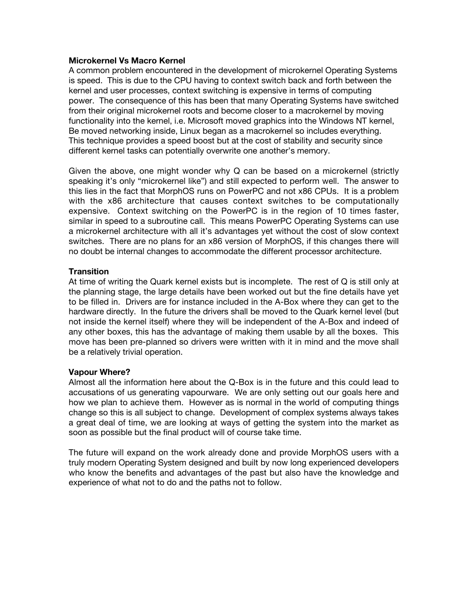#### **Microkernel Vs Macro Kernel**

A common problem encountered in the development of microkernel Operating Systems is speed. This is due to the CPU having to context switch back and forth between the kernel and user processes, context switching is expensive in terms of computing power. The consequence of this has been that many Operating Systems have switched from their original microkernel roots and become closer to a macrokernel by moving functionality into the kernel, i.e. Microsoft moved graphics into the Windows NT kernel, Be moved networking inside, Linux began as a macrokernel so includes everything. This technique provides a speed boost but at the cost of stability and security since different kernel tasks can potentially overwrite one another's memory.

Given the above, one might wonder why Q can be based on a microkernel (strictly speaking it's only "microkernel like") and still expected to perform well. The answer to this lies in the fact that MorphOS runs on PowerPC and not x86 CPUs. It is a problem with the x86 architecture that causes context switches to be computationally expensive. Context switching on the PowerPC is in the region of 10 times faster, similar in speed to a subroutine call. This means PowerPC Operating Systems can use a microkernel architecture with all it's advantages yet without the cost of slow context switches. There are no plans for an x86 version of MorphOS, if this changes there will no doubt be internal changes to accommodate the different processor architecture.

#### **Transition**

At time of writing the Quark kernel exists but is incomplete. The rest of Q is still only at the planning stage, the large details have been worked out but the fine details have yet to be filled in. Drivers are for instance included in the A-Box where they can get to the hardware directly. In the future the drivers shall be moved to the Quark kernel level (but not inside the kernel itself) where they will be independent of the A-Box and indeed of any other boxes, this has the advantage of making them usable by all the boxes. This move has been pre-planned so drivers were written with it in mind and the move shall be a relatively trivial operation.

#### **Vapour Where?**

Almost all the information here about the Q-Box is in the future and this could lead to accusations of us generating vapourware. We are only setting out our goals here and how we plan to achieve them. However as is normal in the world of computing things change so this is all subject to change. Development of complex systems always takes a great deal of time, we are looking at ways of getting the system into the market as soon as possible but the final product will of course take time.

The future will expand on the work already done and provide MorphOS users with a truly modern Operating System designed and built by now long experienced developers who know the benefits and advantages of the past but also have the knowledge and experience of what not to do and the paths not to follow.